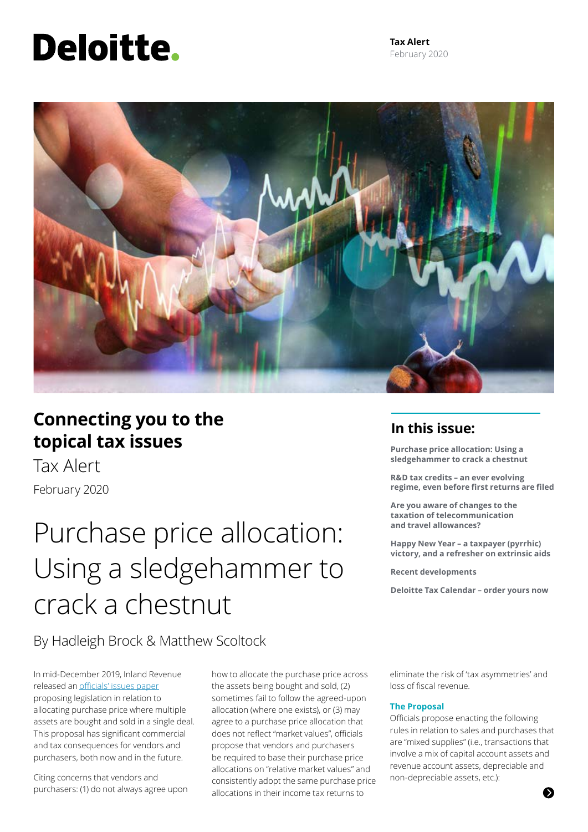# Deloitte.

**Tax Alert** February 2020



### **Connecting you to the topical tax issues**

Tax Alert February 2020

## Purchase price allocation: Using a sledgehammer to crack a chestnut

By Hadleigh Brock & Matthew Scoltock

In mid-December 2019, Inland Revenue released an [officials' issues paper](http://taxpolicy.ird.govt.nz/sites/default/files/2019-ip-purchase-price-allocation.pdf) proposing legislation in relation to allocating purchase price where multiple assets are bought and sold in a single deal. This proposal has significant commercial and tax consequences for vendors and purchasers, both now and in the future.

Citing concerns that vendors and purchasers: (1) do not always agree upon how to allocate the purchase price across the assets being bought and sold, (2) sometimes fail to follow the agreed-upon allocation (where one exists), or (3) may agree to a purchase price allocation that does not reflect "market values", officials propose that vendors and purchasers be required to base their purchase price allocations on "relative market values" and consistently adopt the same purchase price allocations in their income tax returns to

### **In this issue:**

**Purchase price allocation: Using a sledgehammer to crack a chestnut** 

**R&D tax credits – an ever evolving regime, even before first returns are filed**

**Are you aware of changes to the taxation of telecommunication and travel allowances?**

**Happy New Year – a taxpayer (pyrrhic) victory, and a refresher on extrinsic aids**

**Recent developments**

**Deloitte Tax Calendar – order yours now**

eliminate the risk of 'tax asymmetries' and loss of fiscal revenue.

#### **The Proposal**

Officials propose enacting the following rules in relation to sales and purchases that are "mixed supplies" (i.e., transactions that involve a mix of capital account assets and revenue account assets, depreciable and non-depreciable assets, etc.):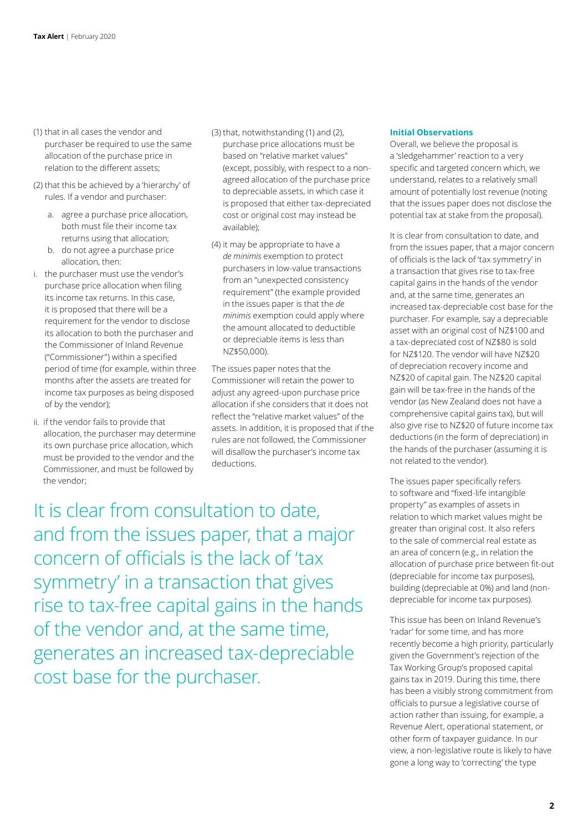- (1) that in all cases the vendor and purchaser be required to use the same allocation of the purchase price in relation to the different assets;
- (2) that this be achieved by a 'hierarchy' of rules. If a vendor and purchaser:
	- a. agree a purchase price allocation, both must file their income tax returns using that allocation;
	- b. do not agree a purchase price allocation, then:
- i. the purchaser must use the vendor's purchase price allocation when filing its income tax returns. In this case, it is proposed that there will be a requirement for the vendor to disclose its allocation to both the purchaser and the Commissioner of Inland Revenue ("Commissioner") within a specified period of time (for example, within three months after the assets are treated for income tax purposes as being disposed of by the vendor);
- ii. if the vendor fails to provide that allocation, the purchaser may determine its own purchase price allocation, which must be provided to the vendor and the Commissioner, and must be followed by the vendor;
- (3) that, notwithstanding (1) and (2), purchase price allocations must be based on "relative market values" (except, possibly, with respect to a nonagreed allocation of the purchase price to depreciable assets, in which case it is proposed that either tax-depreciated cost or original cost may instead be available);
- (4) it may be appropriate to have a *de minimis* exemption to protect purchasers in low-value transactions from an "unexpected consistency requirement" (the example provided in the issues paper is that the *de minimis* exemption could apply where the amount allocated to deductible or depreciable items is less than NZ\$50,000).

The issues paper notes that the Commissioner will retain the power to adjust any agreed-upon purchase price allocation if she considers that it does not reflect the "relative market values" of the assets. In addition, it is proposed that if the rules are not followed, the Commissioner will disallow the purchaser's income tax deductions.

It is clear from consultation to date, and from the issues paper, that a major concern of officials is the lack of 'tax symmetry' in a transaction that gives rise to tax-free capital gains in the hands of the vendor and, at the same time, generates an increased tax-depreciable cost base for the purchaser.

#### **Initial Observations**

Overall, we believe the proposal is a 'sledgehammer' reaction to a very specific and targeted concern which, we understand, relates to a relatively small amount of potentially lost revenue (noting that the issues paper does not disclose the potential tax at stake from the proposal).

It is clear from consultation to date, and from the issues paper, that a major concern of officials is the lack of 'tax symmetry' in a transaction that gives rise to tax-free capital gains in the hands of the vendor and, at the same time, generates an increased tax-depreciable cost base for the purchaser. For example, say a depreciable asset with an original cost of NZ\$100 and a tax-depreciated cost of NZ\$80 is sold for NZ\$120. The vendor will have NZ\$20 of depreciation recovery income and NZ\$20 of capital gain. The NZ\$20 capital gain will be tax-free in the hands of the vendor (as New Zealand does not have a comprehensive capital gains tax), but will also give rise to NZ\$20 of future income tax deductions (in the form of depreciation) in the hands of the purchaser (assuming it is not related to the vendor).

The issues paper specifically refers to software and "fixed-life intangible property" as examples of assets in relation to which market values might be greater than original cost. It also refers to the sale of commercial real estate as an area of concern (e.g., in relation the allocation of purchase price between fit-out (depreciable for income tax purposes), building (depreciable at 0%) and land (nondepreciable for income tax purposes).

This issue has been on Inland Revenue's 'radar' for some time, and has more recently become a high priority, particularly given the Government's rejection of the Tax Working Group's proposed capital gains tax in 2019. During this time, there has been a visibly strong commitment from officials to pursue a legislative course of action rather than issuing, for example, a Revenue Alert, operational statement, or other form of taxpayer guidance. In our view, a non-legislative route is likely to have gone a long way to 'correcting' the type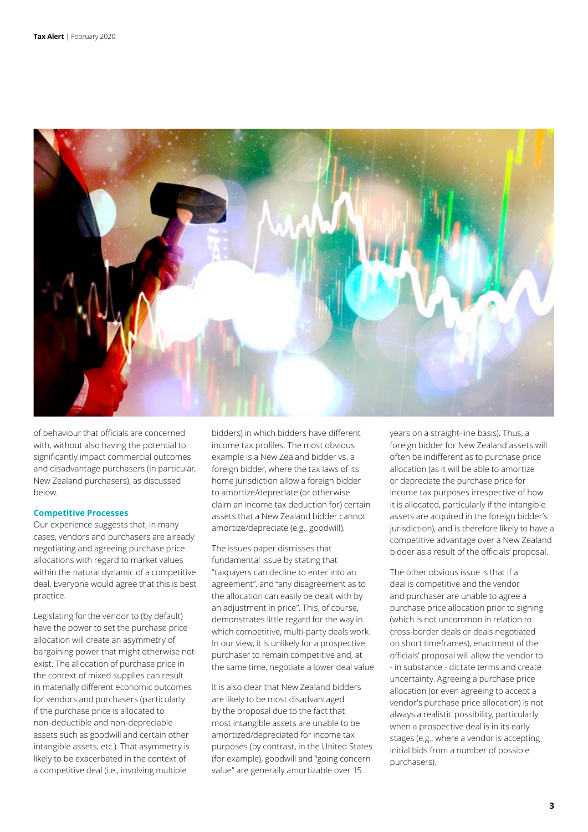

of behaviour that officials are concerned with, without also having the potential to significantly impact commercial outcomes and disadvantage purchasers (in particular, New Zealand purchasers), as discussed below.

#### **Competitive Processes**

Our experience suggests that, in many cases, vendors and purchasers are already negotiating and agreeing purchase price allocations with regard to market values within the natural dynamic of a competitive deal. Everyone would agree that this is best practice.

Legislating for the vendor to (by default) have the power to set the purchase price allocation will create an asymmetry of bargaining power that might otherwise not exist. The allocation of purchase price in the context of mixed supplies can result in materially different economic outcomes for vendors and purchasers (particularly if the purchase price is allocated to non-deductible and non-depreciable assets such as goodwill and certain other intangible assets, etc.). That asymmetry is likely to be exacerbated in the context of a competitive deal (i.e., involving multiple

bidders) in which bidders have different income tax profiles. The most obvious example is a New Zealand bidder vs. a foreign bidder, where the tax laws of its home jurisdiction allow a foreign bidder to amortize/depreciate (or otherwise claim an income tax deduction for) certain assets that a New Zealand bidder cannot amortize/depreciate (e.g., goodwill).

The issues paper dismisses that fundamental issue by stating that "taxpayers can decline to enter into an agreement", and "any disagreement as to the allocation can easily be dealt with by an adjustment in price". This, of course, demonstrates little regard for the way in which competitive, multi-party deals work. In our view, it is unlikely for a prospective purchaser to remain competitive and, at the same time, negotiate a lower deal value.

It is also clear that New Zealand bidders are likely to be most disadvantaged by the proposal due to the fact that most intangible assets are unable to be amortized/depreciated for income tax purposes (by contrast, in the United States (for example), goodwill and "going concern value" are generally amortizable over 15

years on a straight-line basis). Thus, a foreign bidder for New Zealand assets will often be indifferent as to purchase price allocation (as it will be able to amortize or depreciate the purchase price for income tax purposes irrespective of how it is allocated, particularly if the intangible assets are acquired in the foreign bidder's jurisdiction), and is therefore likely to have a competitive advantage over a New Zealand bidder as a result of the officials' proposal.

The other obvious issue is that if a deal is competitive and the vendor and purchaser are unable to agree a purchase price allocation prior to signing (which is not uncommon in relation to cross-border deals or deals negotiated on short timeframes), enactment of the officials' proposal will allow the vendor to - in substance - dictate terms and create uncertainty. Agreeing a purchase price allocation (or even agreeing to accept a vendor's purchase price allocation) is not always a realistic possibility, particularly when a prospective deal is in its early stages (e.g., where a vendor is accepting initial bids from a number of possible purchasers).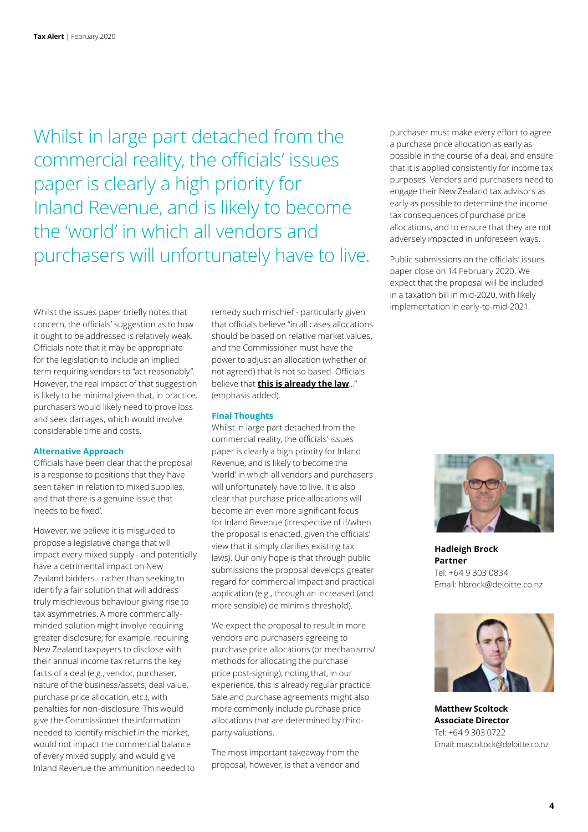Whilst in large part detached from the commercial reality, the officials' issues paper is clearly a high priority for Inland Revenue, and is likely to become the 'world' in which all vendors and purchasers will unfortunately have to live.

Whilst the issues paper briefly notes that concern, the officials' suggestion as to how it ought to be addressed is relatively weak. Officials note that it may be appropriate for the legislation to include an implied term requiring vendors to "act reasonably". However, the real impact of that suggestion is likely to be minimal given that, in practice, purchasers would likely need to prove loss and seek damages, which would involve considerable time and costs.

#### **Alternative Approach**

Officials have been clear that the proposal is a response to positions that they have seen taken in relation to mixed supplies, and that there is a genuine issue that 'needs to be fixed'.

However, we believe it is misguided to propose a legislative change that will impact every mixed supply - and potentially have a detrimental impact on New Zealand bidders - rather than seeking to identify a fair solution that will address truly mischievous behaviour giving rise to tax asymmetries. A more commerciallyminded solution might involve requiring greater disclosure; for example, requiring New Zealand taxpayers to disclose with their annual income tax returns the key facts of a deal (e.g., vendor, purchaser, nature of the business/assets, deal value, purchase price allocation, etc.), with penalties for non-disclosure. This would give the Commissioner the information needed to identify mischief in the market, would not impact the commercial balance of every mixed supply, and would give Inland Revenue the ammunition needed to

remedy such mischief - particularly given that officials believe "in all cases allocations should be based on relative market values, and the Commissioner must have the power to adjust an allocation (whether or not agreed) that is not so based. Officials believe that **this is already the law**…" (emphasis added).

#### **Final Thoughts**

Whilst in large part detached from the commercial reality, the officials' issues paper is clearly a high priority for Inland Revenue, and is likely to become the 'world' in which all vendors and purchasers will unfortunately have to live. It is also clear that purchase price allocations will become an even more significant focus for Inland Revenue (irrespective of if/when the proposal is enacted, given the officials' view that it simply clarifies existing tax laws). Our only hope is that through public submissions the proposal develops greater regard for commercial impact and practical application (e.g., through an increased (and more sensible) de minimis threshold).

We expect the proposal to result in more vendors and purchasers agreeing to purchase price allocations (or mechanisms/ methods for allocating the purchase price post-signing), noting that, in our experience, this is already regular practice. Sale and purchase agreements might also more commonly include purchase price allocations that are determined by thirdparty valuations.

The most important takeaway from the proposal, however, is that a vendor and purchaser must make every effort to agree a purchase price allocation as early as possible in the course of a deal, and ensure that it is applied consistently for income tax purposes. Vendors and purchasers need to engage their New Zealand tax advisors as early as possible to determine the income tax consequences of purchase price allocations, and to ensure that they are not adversely impacted in unforeseen ways.

Public submissions on the officials' issues paper close on 14 February 2020. We expect that the proposal will be included in a taxation bill in mid-2020, with likely implementation in early-to-mid-2021.



**Hadleigh Brock Partner** Tel: +64 9 303 0834 Email: hbrock@deloitte.co.nz



**Matthew Scoltock Associate Director** Tel: +64 9 303 0722 Email: mascoltock@deloitte.co.nz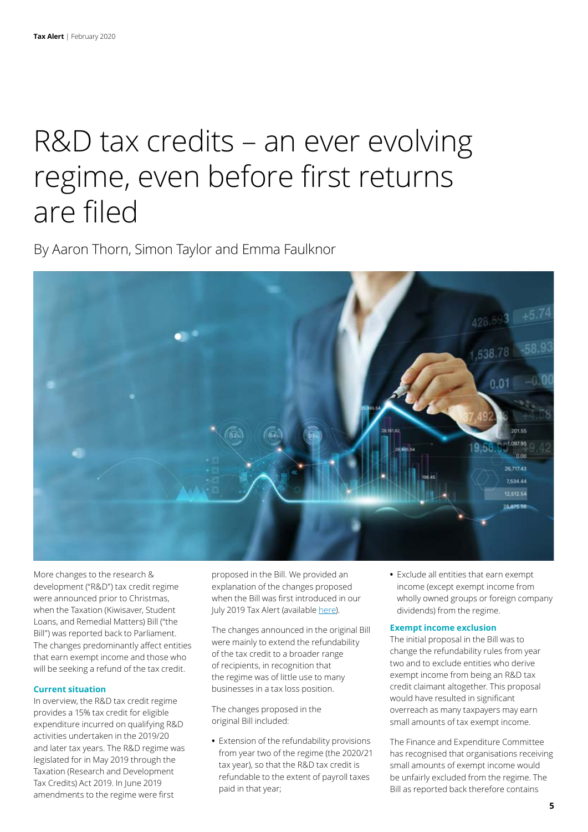## R&D tax credits – an ever evolving regime, even before first returns are filed

By Aaron Thorn, Simon Taylor and Emma Faulknor



More changes to the research & development ("R&D") tax credit regime were announced prior to Christmas, when the Taxation (Kiwisaver, Student Loans, and Remedial Matters) Bill ("the Bill") was reported back to Parliament. The changes predominantly affect entities that earn exempt income and those who will be seeking a refund of the tax credit.

#### **Current situation**

In overview, the R&D tax credit regime provides a 15% tax credit for eligible expenditure incurred on qualifying R&D activities undertaken in the 2019/20 and later tax years. The R&D regime was legislated for in May 2019 through the Taxation (Research and Development Tax Credits) Act 2019. In June 2019 amendments to the regime were first

proposed in the Bill. We provided an explanation of the changes proposed when the Bill was first introduced in our July 2019 Tax Alert (available [here](https://www2.deloitte.com/nz/en/pages/tax-alerts/articles/r-d-tax-credits-new-developments.html)).

The changes announced in the original Bill were mainly to extend the refundability of the tax credit to a broader range of recipients, in recognition that the regime was of little use to many businesses in a tax loss position.

The changes proposed in the original Bill included:

**•** Extension of the refundability provisions from year two of the regime (the 2020/21 tax year), so that the R&D tax credit is refundable to the extent of payroll taxes paid in that year;

**•** Exclude all entities that earn exempt income (except exempt income from wholly owned groups or foreign company dividends) from the regime.

#### **Exempt income exclusion**

The initial proposal in the Bill was to change the refundability rules from year two and to exclude entities who derive exempt income from being an R&D tax credit claimant altogether. This proposal would have resulted in significant overreach as many taxpayers may earn small amounts of tax exempt income.

The Finance and Expenditure Committee has recognised that organisations receiving small amounts of exempt income would be unfairly excluded from the regime. The Bill as reported back therefore contains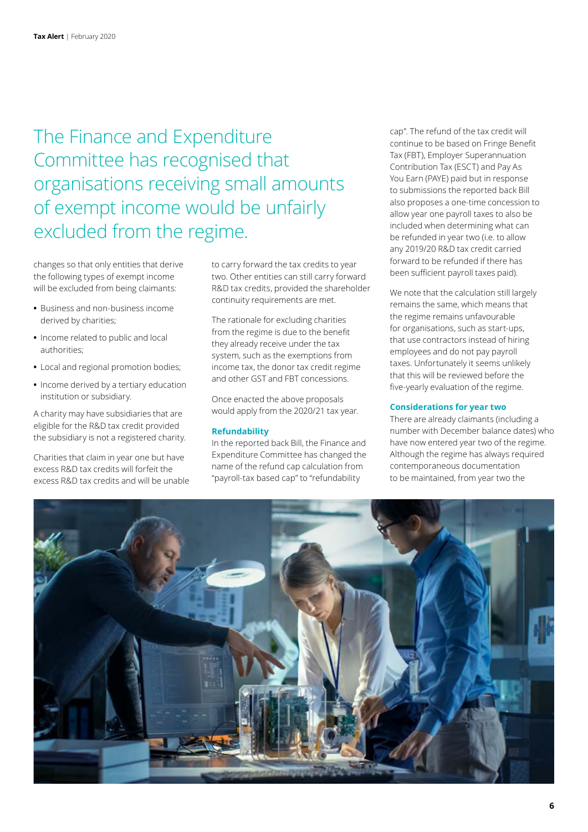### The Finance and Expenditure Committee has recognised that organisations receiving small amounts of exempt income would be unfairly excluded from the regime.

changes so that only entities that derive the following types of exempt income will be excluded from being claimants:

- **•** Business and non-business income derived by charities;
- **•** Income related to public and local authorities;
- **•** Local and regional promotion bodies;
- **•** Income derived by a tertiary education institution or subsidiary.

A charity may have subsidiaries that are eligible for the R&D tax credit provided the subsidiary is not a registered charity.

Charities that claim in year one but have excess R&D tax credits will forfeit the excess R&D tax credits and will be unable to carry forward the tax credits to year two. Other entities can still carry forward R&D tax credits, provided the shareholder continuity requirements are met.

The rationale for excluding charities from the regime is due to the benefit they already receive under the tax system, such as the exemptions from income tax, the donor tax credit regime and other GST and FBT concessions.

Once enacted the above proposals would apply from the 2020/21 tax year.

#### **Refundability**

In the reported back Bill, the Finance and Expenditure Committee has changed the name of the refund cap calculation from "payroll-tax based cap" to "refundability

cap". The refund of the tax credit will continue to be based on Fringe Benefit Tax (FBT), Employer Superannuation Contribution Tax (ESCT) and Pay As You Earn (PAYE) paid but in response to submissions the reported back Bill also proposes a one-time concession to allow year one payroll taxes to also be included when determining what can be refunded in year two (i.e. to allow any 2019/20 R&D tax credit carried forward to be refunded if there has been sufficient payroll taxes paid).

We note that the calculation still largely remains the same, which means that the regime remains unfavourable for organisations, such as start-ups, that use contractors instead of hiring employees and do not pay payroll taxes. Unfortunately it seems unlikely that this will be reviewed before the five-yearly evaluation of the regime.

#### **Considerations for year two**

There are already claimants (including a number with December balance dates) who have now entered year two of the regime. Although the regime has always required contemporaneous documentation to be maintained, from year two the

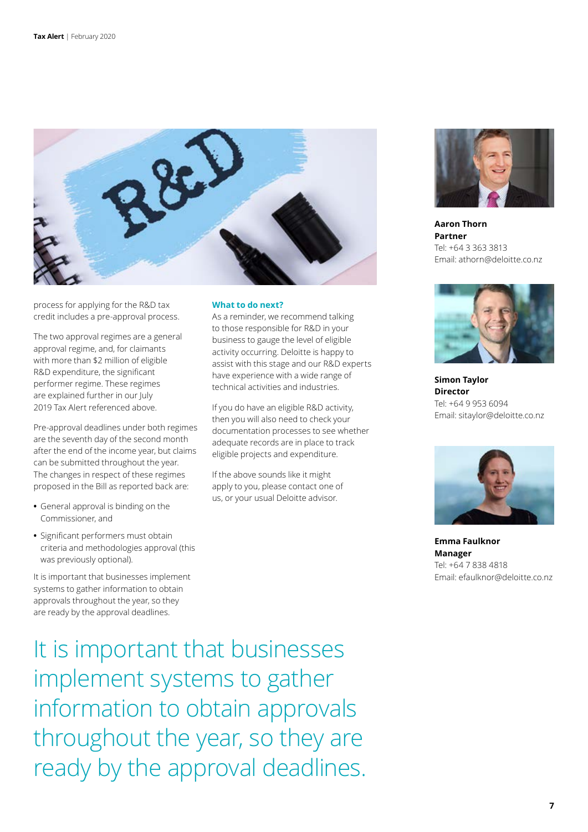

process for applying for the R&D tax credit includes a pre-approval process.

The two approval regimes are a general approval regime, and, for claimants with more than \$2 million of eligible R&D expenditure, the significant performer regime. These regimes are explained further in our July 2019 Tax Alert referenced above.

Pre-approval deadlines under both regimes are the seventh day of the second month after the end of the income year, but claims can be submitted throughout the year. The changes in respect of these regimes proposed in the Bill as reported back are:

- **•** General approval is binding on the Commissioner, and
- **•** Significant performers must obtain criteria and methodologies approval (this was previously optional).

It is important that businesses implement systems to gather information to obtain approvals throughout the year, so they are ready by the approval deadlines.

#### **What to do next?**

As a reminder, we recommend talking to those responsible for R&D in your business to gauge the level of eligible activity occurring. Deloitte is happy to assist with this stage and our R&D experts have experience with a wide range of technical activities and industries.

If you do have an eligible R&D activity, then you will also need to check your documentation processes to see whether adequate records are in place to track eligible projects and expenditure.

If the above sounds like it might apply to you, please contact one of us, or your usual Deloitte advisor.



**Aaron Thorn Partner** Tel: +64 3 363 3813 Email: athorn@deloitte.co.nz



**Simon Taylor Director** Tel: +64 9 953 6094 Email: sitaylor@deloitte.co.nz



**Emma Faulknor Manager** Tel: +64 7 838 4818 Email: efaulknor@deloitte.co.nz

It is important that businesses implement systems to gather information to obtain approvals throughout the year, so they are ready by the approval deadlines.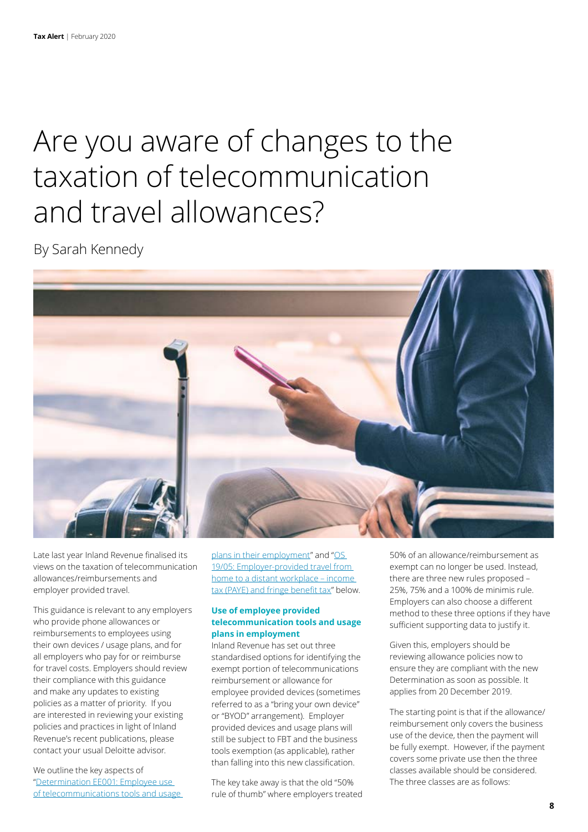## Are you aware of changes to the taxation of telecommunication and travel allowances?

By Sarah Kennedy



Late last year Inland Revenue finalised its views on the taxation of telecommunication allowances/reimbursements and employer provided travel.

This guidance is relevant to any employers who provide phone allowances or reimbursements to employees using their own devices / usage plans, and for all employers who pay for or reimburse for travel costs. Employers should review their compliance with this guidance and make any updates to existing policies as a matter of priority. If you are interested in reviewing your existing policies and practices in light of Inland Revenue's recent publications, please contact your usual Deloitte advisor.

We outline the key aspects of ["Determination EE001: Employee use](https://www.classic.ird.govt.nz/resources/9/8/986e92c3-3588-4a99-8a23-361aa441ad36/ee001.pdf)  [of telecommunications tools and usage](https://www.classic.ird.govt.nz/resources/9/8/986e92c3-3588-4a99-8a23-361aa441ad36/ee001.pdf)  [plans in their employment](https://www.classic.ird.govt.nz/resources/9/8/986e92c3-3588-4a99-8a23-361aa441ad36/ee001.pdf)" and "OS [19/05: Employer-provided travel from](https://www.classic.ird.govt.nz/resources/3/7/377dcaec-d793-482a-b9ca-48846eb4586e/os1905.pdf)  [home to a distant workplace – income](https://www.classic.ird.govt.nz/resources/3/7/377dcaec-d793-482a-b9ca-48846eb4586e/os1905.pdf)  [tax \(PAYE\) and fringe benefit tax"](https://www.classic.ird.govt.nz/resources/3/7/377dcaec-d793-482a-b9ca-48846eb4586e/os1905.pdf) below.

#### **Use of employee provided telecommunication tools and usage plans in employment**

Inland Revenue has set out three standardised options for identifying the exempt portion of telecommunications reimbursement or allowance for employee provided devices (sometimes referred to as a "bring your own device" or "BYOD" arrangement). Employer provided devices and usage plans will still be subject to FBT and the business tools exemption (as applicable), rather than falling into this new classification.

The key take away is that the old "50% rule of thumb" where employers treated 50% of an allowance/reimbursement as exempt can no longer be used. Instead, there are three new rules proposed – 25%, 75% and a 100% de minimis rule. Employers can also choose a different method to these three options if they have sufficient supporting data to justify it.

Given this, employers should be reviewing allowance policies now to ensure they are compliant with the new Determination as soon as possible. It applies from 20 December 2019.

The starting point is that if the allowance/ reimbursement only covers the business use of the device, then the payment will be fully exempt. However, if the payment covers some private use then the three classes available should be considered. The three classes are as follows: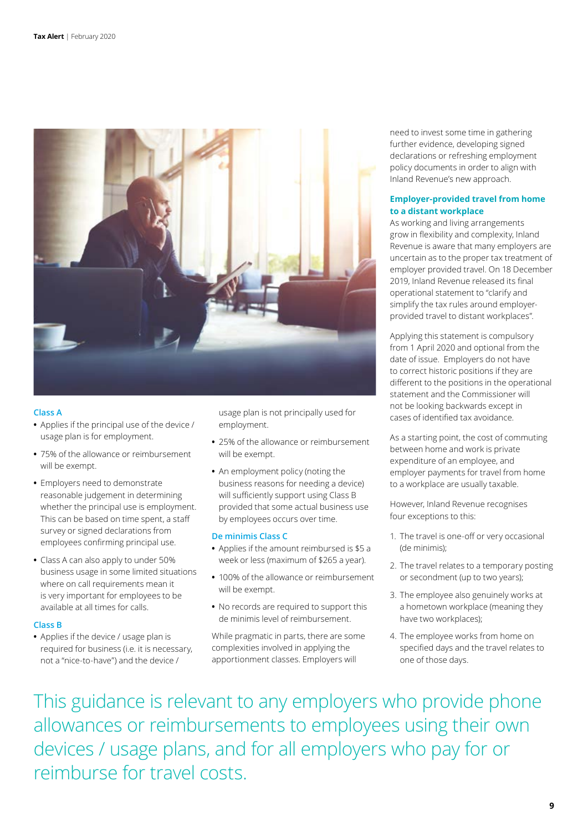

#### **Class A**

- **•** Applies if the principal use of the device / usage plan is for employment.
- **•** 75% of the allowance or reimbursement will be exempt.
- **•** Employers need to demonstrate reasonable judgement in determining whether the principal use is employment. This can be based on time spent, a staff survey or signed declarations from employees confirming principal use.
- **•** Class A can also apply to under 50% business usage in some limited situations where on call requirements mean it is very important for employees to be available at all times for calls.

#### **Class B**

**•** Applies if the device / usage plan is required for business (i.e. it is necessary, not a "nice-to-have") and the device /

usage plan is not principally used for employment.

- **•** 25% of the allowance or reimbursement will be exempt.
- **•** An employment policy (noting the business reasons for needing a device) will sufficiently support using Class B provided that some actual business use by employees occurs over time.

#### **De minimis Class C**

- **•** Applies if the amount reimbursed is \$5 a week or less (maximum of \$265 a year).
- **•** 100% of the allowance or reimbursement will be exempt.
- **•** No records are required to support this de minimis level of reimbursement.

While pragmatic in parts, there are some complexities involved in applying the apportionment classes. Employers will

need to invest some time in gathering further evidence, developing signed declarations or refreshing employment policy documents in order to align with Inland Revenue's new approach.

#### **Employer-provided travel from home to a distant workplace**

As working and living arrangements grow in flexibility and complexity, Inland Revenue is aware that many employers are uncertain as to the proper tax treatment of employer provided travel. On 18 December 2019, Inland Revenue released its final operational statement to "clarify and simplify the tax rules around employerprovided travel to distant workplaces".

Applying this statement is compulsory from 1 April 2020 and optional from the date of issue. Employers do not have to correct historic positions if they are different to the positions in the operational statement and the Commissioner will not be looking backwards except in cases of identified tax avoidance.

As a starting point, the cost of commuting between home and work is private expenditure of an employee, and employer payments for travel from home to a workplace are usually taxable.

However, Inland Revenue recognises four exceptions to this:

- 1. The travel is one-off or very occasional (de minimis);
- 2. The travel relates to a temporary posting or secondment (up to two years);
- 3. The employee also genuinely works at a hometown workplace (meaning they have two workplaces);
- 4. The employee works from home on specified days and the travel relates to one of those days.

This guidance is relevant to any employers who provide phone allowances or reimbursements to employees using their own devices / usage plans, and for all employers who pay for or reimburse for travel costs.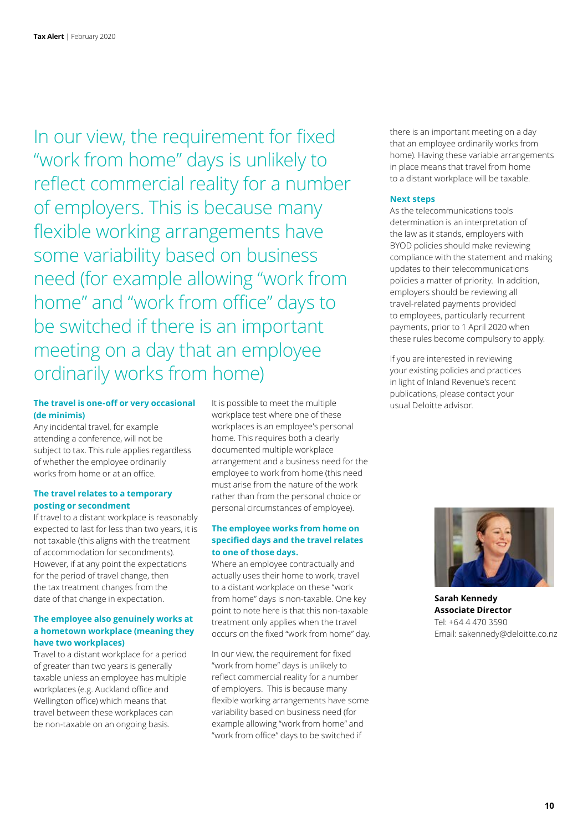In our view, the requirement for fixed "work from home" days is unlikely to reflect commercial reality for a number of employers. This is because many flexible working arrangements have some variability based on business need (for example allowing "work from home" and "work from office" days to be switched if there is an important meeting on a day that an employee ordinarily works from home)

#### **The travel is one-off or very occasional (de minimis)**

Any incidental travel, for example attending a conference, will not be subject to tax. This rule applies regardless of whether the employee ordinarily works from home or at an office.

#### **The travel relates to a temporary posting or secondment**

If travel to a distant workplace is reasonably expected to last for less than two years, it is not taxable (this aligns with the treatment of accommodation for secondments). However, if at any point the expectations for the period of travel change, then the tax treatment changes from the date of that change in expectation.

#### **The employee also genuinely works at a hometown workplace (meaning they have two workplaces)**

Travel to a distant workplace for a period of greater than two years is generally taxable unless an employee has multiple workplaces (e.g. Auckland office and Wellington office) which means that travel between these workplaces can be non-taxable on an ongoing basis.

It is possible to meet the multiple workplace test where one of these workplaces is an employee's personal home. This requires both a clearly documented multiple workplace arrangement and a business need for the employee to work from home (this need must arise from the nature of the work rather than from the personal choice or personal circumstances of employee).

#### **The employee works from home on specified days and the travel relates to one of those days.**

Where an employee contractually and actually uses their home to work, travel to a distant workplace on these "work from home" days is non-taxable. One key point to note here is that this non-taxable treatment only applies when the travel occurs on the fixed "work from home" day.

In our view, the requirement for fixed "work from home" days is unlikely to reflect commercial reality for a number of employers. This is because many flexible working arrangements have some variability based on business need (for example allowing "work from home" and "work from office" days to be switched if

there is an important meeting on a day that an employee ordinarily works from home). Having these variable arrangements in place means that travel from home to a distant workplace will be taxable.

#### **Next steps**

As the telecommunications tools determination is an interpretation of the law as it stands, employers with BYOD policies should make reviewing compliance with the statement and making updates to their telecommunications policies a matter of priority. In addition, employers should be reviewing all travel-related payments provided to employees, particularly recurrent payments, prior to 1 April 2020 when these rules become compulsory to apply.

If you are interested in reviewing your existing policies and practices in light of Inland Revenue's recent publications, please contact your usual Deloitte advisor.



**Sarah Kennedy Associate Director** Tel: +64 4 470 3590 Email: sakennedy@deloitte.co.nz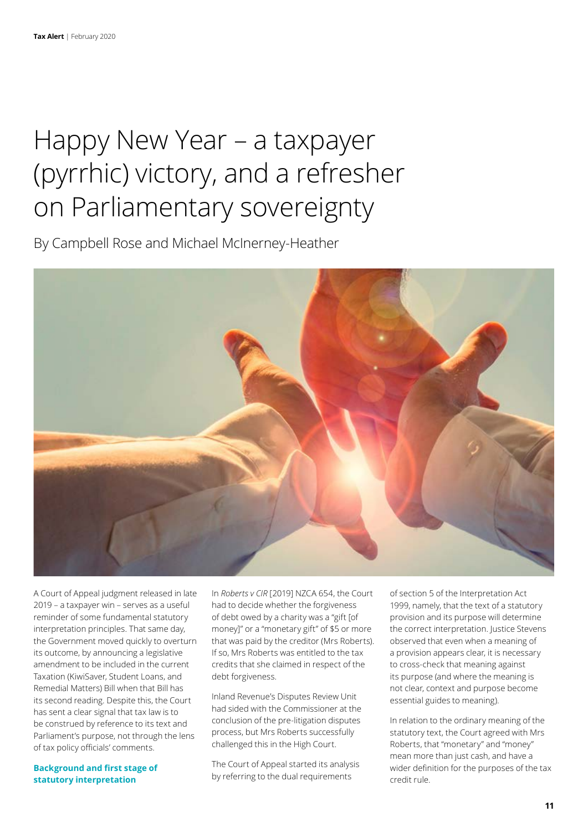### Happy New Year – a taxpayer (pyrrhic) victory, and a refresher on Parliamentary sovereignty

By Campbell Rose and Michael McInerney-Heather



A Court of Appeal judgment released in late 2019 – a taxpayer win – serves as a useful reminder of some fundamental statutory interpretation principles. That same day, the Government moved quickly to overturn its outcome, by announcing a legislative amendment to be included in the current Taxation (KiwiSaver, Student Loans, and Remedial Matters) Bill when that Bill has its second reading. Despite this, the Court has sent a clear signal that tax law is to be construed by reference to its text and Parliament's purpose, not through the lens of tax policy officials' comments.

**Background and first stage of statutory interpretation**

In *Roberts v CIR* [2019] NZCA 654, the Court had to decide whether the forgiveness of debt owed by a charity was a "gift [of money]" or a "monetary gift" of \$5 or more that was paid by the creditor (Mrs Roberts). If so, Mrs Roberts was entitled to the tax credits that she claimed in respect of the debt forgiveness.

Inland Revenue's Disputes Review Unit had sided with the Commissioner at the conclusion of the pre-litigation disputes process, but Mrs Roberts successfully challenged this in the High Court.

The Court of Appeal started its analysis by referring to the dual requirements

of section 5 of the Interpretation Act 1999, namely, that the text of a statutory provision and its purpose will determine the correct interpretation. Justice Stevens observed that even when a meaning of a provision appears clear, it is necessary to cross-check that meaning against its purpose (and where the meaning is not clear, context and purpose become essential guides to meaning).

In relation to the ordinary meaning of the statutory text, the Court agreed with Mrs Roberts, that "monetary" and "money" mean more than just cash, and have a wider definition for the purposes of the tax credit rule.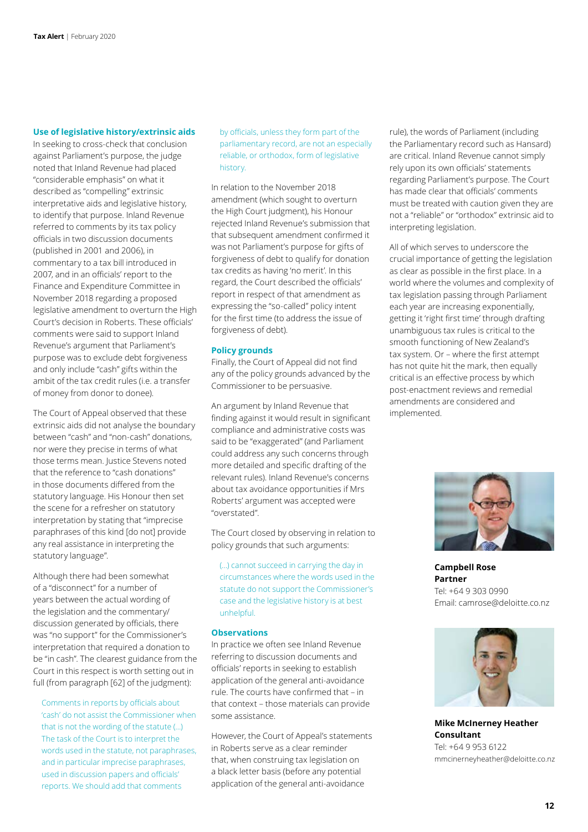#### **Use of legislative history/extrinsic aids**

In seeking to cross-check that conclusion against Parliament's purpose, the judge noted that Inland Revenue had placed "considerable emphasis" on what it described as "compelling" extrinsic interpretative aids and legislative history, to identify that purpose. Inland Revenue referred to comments by its tax policy officials in two discussion documents (published in 2001 and 2006), in commentary to a tax bill introduced in 2007, and in an officials' report to the Finance and Expenditure Committee in November 2018 regarding a proposed legislative amendment to overturn the High Court's decision in Roberts. These officials' comments were said to support Inland Revenue's argument that Parliament's purpose was to exclude debt forgiveness and only include "cash" gifts within the ambit of the tax credit rules (i.e. a transfer of money from donor to donee).

The Court of Appeal observed that these extrinsic aids did not analyse the boundary between "cash" and "non-cash" donations, nor were they precise in terms of what those terms mean. Justice Stevens noted that the reference to "cash donations" in those documents differed from the statutory language. His Honour then set the scene for a refresher on statutory interpretation by stating that "imprecise paraphrases of this kind [do not] provide any real assistance in interpreting the statutory language".

Although there had been somewhat of a "disconnect" for a number of years between the actual wording of the legislation and the commentary/ discussion generated by officials, there was "no support" for the Commissioner's interpretation that required a donation to be "in cash". The clearest guidance from the Court in this respect is worth setting out in full (from paragraph [62] of the judgment):

Comments in reports by officials about 'cash' do not assist the Commissioner when that is not the wording of the statute (…) The task of the Court is to interpret the words used in the statute, not paraphrases, and in particular imprecise paraphrases, used in discussion papers and officials' reports. We should add that comments

by officials, unless they form part of the parliamentary record, are not an especially reliable, or orthodox, form of legislative history.

In relation to the November 2018 amendment (which sought to overturn the High Court judgment), his Honour rejected Inland Revenue's submission that that subsequent amendment confirmed it was not Parliament's purpose for gifts of forgiveness of debt to qualify for donation tax credits as having 'no merit'. In this regard, the Court described the officials' report in respect of that amendment as expressing the "so-called" policy intent for the first time (to address the issue of forgiveness of debt).

#### **Policy grounds**

Finally, the Court of Appeal did not find any of the policy grounds advanced by the Commissioner to be persuasive.

An argument by Inland Revenue that finding against it would result in significant compliance and administrative costs was said to be "exaggerated" (and Parliament could address any such concerns through more detailed and specific drafting of the relevant rules). Inland Revenue's concerns about tax avoidance opportunities if Mrs Roberts' argument was accepted were "overstated".

The Court closed by observing in relation to policy grounds that such arguments:

(…) cannot succeed in carrying the day in circumstances where the words used in the statute do not support the Commissioner's case and the legislative history is at best unhelpful.

#### **Observations**

In practice we often see Inland Revenue referring to discussion documents and officials' reports in seeking to establish application of the general anti-avoidance rule. The courts have confirmed that – in that context – those materials can provide some assistance.

However, the Court of Appeal's statements in Roberts serve as a clear reminder that, when construing tax legislation on a black letter basis (before any potential application of the general anti-avoidance

rule), the words of Parliament (including the Parliamentary record such as Hansard) are critical. Inland Revenue cannot simply rely upon its own officials' statements regarding Parliament's purpose. The Court has made clear that officials' comments must be treated with caution given they are not a "reliable" or "orthodox" extrinsic aid to interpreting legislation.

All of which serves to underscore the crucial importance of getting the legislation as clear as possible in the first place. In a world where the volumes and complexity of tax legislation passing through Parliament each year are increasing exponentially, getting it 'right first time' through drafting unambiguous tax rules is critical to the smooth functioning of New Zealand's tax system. Or – where the first attempt has not quite hit the mark, then equally critical is an effective process by which post-enactment reviews and remedial amendments are considered and implemented.



**Campbell Rose Partner** Tel: +64 9 303 0990 Email: camrose@deloitte.co.nz



**Mike McInerney Heather Consultant** Tel: +64 9 953 6122 mmcinerneyheather@deloitte.co.nz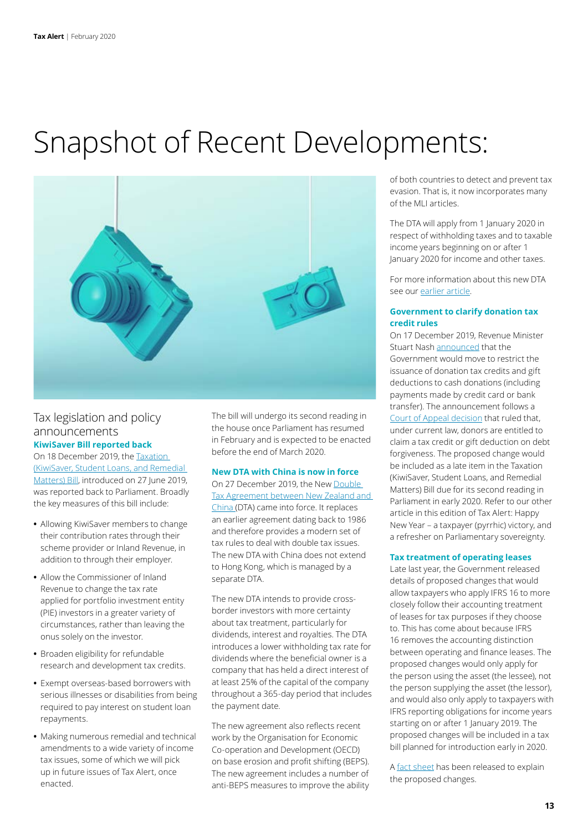## Snapshot of Recent Developments:



#### Tax legislation and policy announcements **KiwiSaver Bill reported back**

On 18 December 2019, the [Taxation](http://legislation.govt.nz/bill/government/2019/0158/latest/LMS217713.html)  [\(KiwiSaver, Student Loans, and Remedial](http://legislation.govt.nz/bill/government/2019/0158/latest/LMS217713.html)  [Matters\) Bill](http://legislation.govt.nz/bill/government/2019/0158/latest/LMS217713.html), introduced on 27 June 2019, was reported back to Parliament. Broadly the key measures of this bill include:

- **•** Allowing KiwiSaver members to change their contribution rates through their scheme provider or Inland Revenue, in addition to through their employer.
- **•** Allow the Commissioner of Inland Revenue to change the tax rate applied for portfolio investment entity (PIE) investors in a greater variety of circumstances, rather than leaving the onus solely on the investor.
- **•** Broaden eligibility for refundable research and development tax credits.
- **•** Exempt overseas-based borrowers with serious illnesses or disabilities from being required to pay interest on student loan repayments.
- **•** Making numerous remedial and technical amendments to a wide variety of income tax issues, some of which we will pick up in future issues of Tax Alert, once enacted.

The bill will undergo its second reading in the house once Parliament has resumed in February and is expected to be enacted before the end of March 2020.

#### **New DTA with China is now in force**

On 27 December 2019, the New [Double](http://taxpolicy.ird.govt.nz/tax-treaties/china)  [Tax Agreement between New Zealand and](http://taxpolicy.ird.govt.nz/tax-treaties/china)  [China](http://taxpolicy.ird.govt.nz/tax-treaties/china) (DTA) came into force. It replaces an earlier agreement dating back to 1986 and therefore provides a modern set of tax rules to deal with double tax issues. The new DTA with China does not extend to Hong Kong, which is managed by a separate DTA.

The new DTA intends to provide crossborder investors with more certainty about tax treatment, particularly for dividends, interest and royalties. The DTA introduces a lower withholding tax rate for dividends where the beneficial owner is a company that has held a direct interest of at least 25% of the capital of the company throughout a 365-day period that includes the payment date.

The new agreement also reflects recent work by the Organisation for Economic Co-operation and Development (OECD) on base erosion and profit shifting (BEPS). The new agreement includes a number of anti-BEPS measures to improve the ability of both countries to detect and prevent tax evasion. That is, it now incorporates many of the MLI articles.

The DTA will apply from 1 January 2020 in respect of withholding taxes and to taxable income years beginning on or after 1 January 2020 for income and other taxes.

For more information about this new DTA see our [earlier article](https://www2.deloitte.com/nz/en/pages/tax-alerts/articles/new-china-tax-treaty.html).

#### **Government to clarify donation tax credit rules**

On 17 December 2019, Revenue Minister Stuart Nash [announced](http://taxpolicy.ird.govt.nz/news/2019-12-17-government-clarify-donation-tax-credit-rules#statement) that the Government would move to restrict the issuance of donation tax credits and gift deductions to cash donations (including payments made by credit card or bank transfer). The announcement follows a [Court of Appeal decision](http://taxpolicy.ird.govt.nz/sites/default/files/news/2019-12-17-nzca-654.pdf) that ruled that, under current law, donors are entitled to claim a tax credit or gift deduction on debt forgiveness. The proposed change would be included as a late item in the Taxation (KiwiSaver, Student Loans, and Remedial Matters) Bill due for its second reading in Parliament in early 2020. Refer to our other article in this edition of Tax Alert: Happy New Year – a taxpayer (pyrrhic) victory, and a refresher on Parliamentary sovereignty.

#### **Tax treatment of operating leases**

Late last year, the Government released details of proposed changes that would allow taxpayers who apply IFRS 16 to more closely follow their accounting treatment of leases for tax purposes if they choose to. This has come about because IFRS 16 removes the accounting distinction between operating and finance leases. The proposed changes would only apply for the person using the asset (the lessee), not the person supplying the asset (the lessor), and would also only apply to taxpayers with IFRS reporting obligations for income years starting on or after 1 January 2019. The proposed changes will be included in a tax bill planned for introduction early in 2020.

A [fact sheet](http://taxpolicy.ird.govt.nz/sites/default/files/2019-other-ifrs-fact-sheet.pdf) has been released to explain the proposed changes.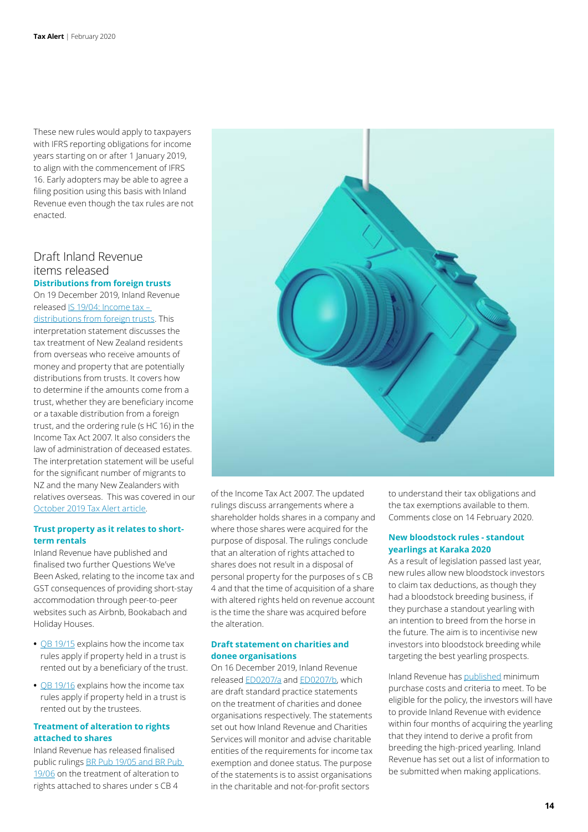These new rules would apply to taxpayers with IFRS reporting obligations for income years starting on or after 1 January 2019, to align with the commencement of IFRS 16. Early adopters may be able to agree a filing position using this basis with Inland Revenue even though the tax rules are not enacted.

#### Draft Inland Revenue items released **Distributions from foreign trusts**

On 19 December 2019, Inland Revenue released [IS 19/04: Income tax –](https://www.classic.ird.govt.nz/resources/0/2/02171279-e8dc-4445-9d70-385a501acfb6/is1904.pdf)  [distributions from foreign trusts.](https://www.classic.ird.govt.nz/resources/0/2/02171279-e8dc-4445-9d70-385a501acfb6/is1904.pdf) This interpretation statement discusses the tax treatment of New Zealand residents from overseas who receive amounts of money and property that are potentially distributions from trusts. It covers how to determine if the amounts come from a trust, whether they are beneficiary income or a taxable distribution from a foreign trust, and the ordering rule (s HC 16) in the Income Tax Act 2007. It also considers the law of administration of deceased estates. The interpretation statement will be useful for the significant number of migrants to NZ and the many New Zealanders with relatives overseas. This was covered in our [October 2019 Tax Alert article](https://www2.deloitte.com/nz/en/pages/tax-alerts/articles/foreign-trusts.html).

#### **Trust property as it relates to shortterm rentals**

Inland Revenue have published and finalised two further Questions We've Been Asked, relating to the income tax and GST consequences of providing short-stay accommodation through peer-to-peer websites such as Airbnb, Bookabach and Holiday Houses.

- **•** [QB 19/15](https://www.classic.ird.govt.nz/resources/1/6/1603df87-4f3d-4b43-a9cf-0eba3ac31df1/qb19-15.pdf) explains how the income tax rules apply if property held in a trust is rented out by a beneficiary of the trust.
- **•** [QB 19/16](https://www.classic.ird.govt.nz/resources/0/5/05c8b08d-700b-4b7d-afaf-10bfe0d3783a/qb19-16.pdf) explains how the income tax rules apply if property held in a trust is rented out by the trustees.

#### **Treatment of alteration to rights attached to shares**

Inland Revenue has released finalised public rulings [BR Pub 19/05 and BR Pub](https://www.classic.ird.govt.nz/resources/6/3/63f133d5-9a87-463a-88cb-d870eb351203/brpub19-05-and-brpub19-06.pdf)  [19/06](https://www.classic.ird.govt.nz/resources/6/3/63f133d5-9a87-463a-88cb-d870eb351203/brpub19-05-and-brpub19-06.pdf) on the treatment of alteration to rights attached to shares under s CB 4



of the Income Tax Act 2007. The updated rulings discuss arrangements where a shareholder holds shares in a company and where those shares were acquired for the purpose of disposal. The rulings conclude that an alteration of rights attached to shares does not result in a disposal of personal property for the purposes of s CB 4 and that the time of acquisition of a share with altered rights held on revenue account is the time the share was acquired before the alteration.

#### **Draft statement on charities and donee organisations**

On 16 December 2019, Inland Revenue released [ED0207/a](https://www.classic.ird.govt.nz/resources/6/e/6e1f4709-f998-4320-af7c-0dc3c4257c24/ed0207a.pdf) and [ED0207/b](https://www.classic.ird.govt.nz/resources/e/5/e5a0bceb-9733-4329-98ef-20c6db6f18da/ed0207b.pdf), which are draft standard practice statements on the treatment of charities and donee organisations respectively. The statements set out how Inland Revenue and Charities Services will monitor and advise charitable entities of the requirements for income tax exemption and donee status. The purpose of the statements is to assist organisations in the charitable and not-for-profit sectors

to understand their tax obligations and the tax exemptions available to them. Comments close on 14 February 2020.

#### **New bloodstock rules - standout yearlings at Karaka 2020**

As a result of legislation passed last year, new rules allow new bloodstock investors to claim tax deductions, as though they had a bloodstock breeding business, if they purchase a standout yearling with an intention to breed from the horse in the future. The aim is to incentivise new investors into bloodstock breeding while targeting the best yearling prospects.

Inland Revenue has [published](https://www.ird.govt.nz/Updates/News-Folder/standout-yearlings-at-karaka-2020) minimum purchase costs and criteria to meet. To be eligible for the policy, the investors will have to provide Inland Revenue with evidence within four months of acquiring the yearling that they intend to derive a profit from breeding the high-priced yearling. Inland Revenue has set out a list of information to be submitted when making applications.